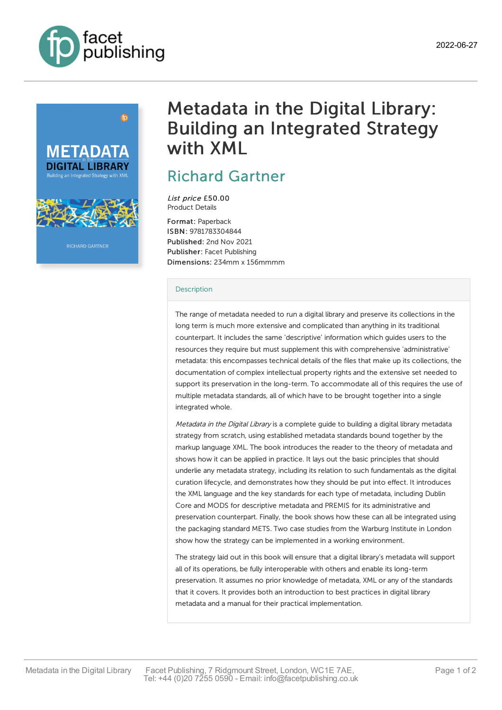



# Metadata in the Digital Library: Building an Integrated Strategy with XML

# Richard [Gartner](https://www.facetpublishing.co.uk/page/author-detail/?SF1=contributor&ST1=Richard%20Gartner)

List price £50.00 Product Details

Format: Paperback ISBN: 9781783304844 Published: 2nd Nov 2021 Publisher: Facet Publishing Dimensions: 234mm x 156mmmm

## **[Description](javascript:void(0);)**

The range of metadata needed to run a digital library and preserve its collections in the long term is much more extensive and complicated than anything in its traditional counterpart. It includes the same 'descriptive' information which guides users to the resources they require but must supplement this with comprehensive 'administrative' metadata: this encompasses technical details of the files that make up its collections, the documentation of complex intellectual property rights and the extensive set needed to support its preservation in the long-term. To accommodate all of this requires the use of multiple metadata standards, all of which have to be brought together into a single integrated whole.

Metadata in the Digital Library is a complete guide to building a digital library metadata strategy from scratch, using established metadata standards bound together by the markup language XML. The book introduces the reader to the theory of metadata and shows how it can be applied in practice. It lays out the basic principles that should underlie any metadata strategy, including its relation to such fundamentals as the digital curation lifecycle, and demonstrates how they should be put into effect. It introduces the XML language and the key standards for each type of metadata, including Dublin Core and MODS for descriptive metadata and PREMIS for its administrative and preservation counterpart. Finally, the book shows how these can all be integrated using the packaging standard METS. Two case studies from the Warburg Institute in London show how the strategy can be implemented in a working environment.

The strategy laid out in this book will ensure that a digital library's metadata will support all of its operations, be fully interoperable with others and enable its long-term preservation. It assumes no prior knowledge of metadata, XML or any of the standards that it covers. It provides both an introduction to best practices in digital library metadata and a manual for their practical implementation.